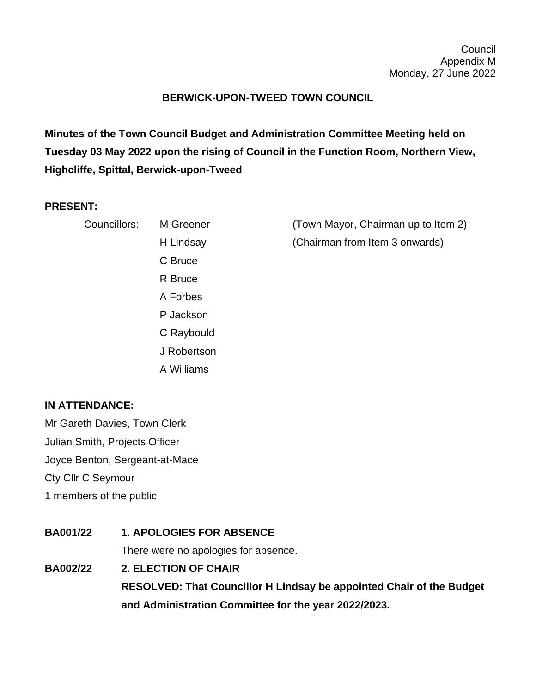## **BERWICK-UPON-TWEED TOWN COUNCIL**

**Minutes of the Town Council Budget and Administration Committee Meeting held on Tuesday 03 May 2022 upon the rising of Council in the Function Room, Northern View, Highcliffe, Spittal, Berwick-upon-Tweed**

## **PRESENT:**

| Councillors: | M Greener   | (Town Mayor, Chairman up to Item 2) |
|--------------|-------------|-------------------------------------|
|              | H Lindsay   | (Chairman from Item 3 onwards)      |
|              | C Bruce     |                                     |
|              | R Bruce     |                                     |
|              | A Forbes    |                                     |
|              | P Jackson   |                                     |
|              | C Raybould  |                                     |
|              | J Robertson |                                     |

A Williams

## **IN ATTENDANCE:**

Mr Gareth Davies, Town Clerk Julian Smith, Projects Officer Joyce Benton, Sergeant-at-Mace Cty Cllr C Seymour 1 members of the public

**BA001/22 1. APOLOGIES FOR ABSENCE** There were no apologies for absence. **BA002/22 2. ELECTION OF CHAIR**

**RESOLVED: That Councillor H Lindsay be appointed Chair of the Budget and Administration Committee for the year 2022/2023.**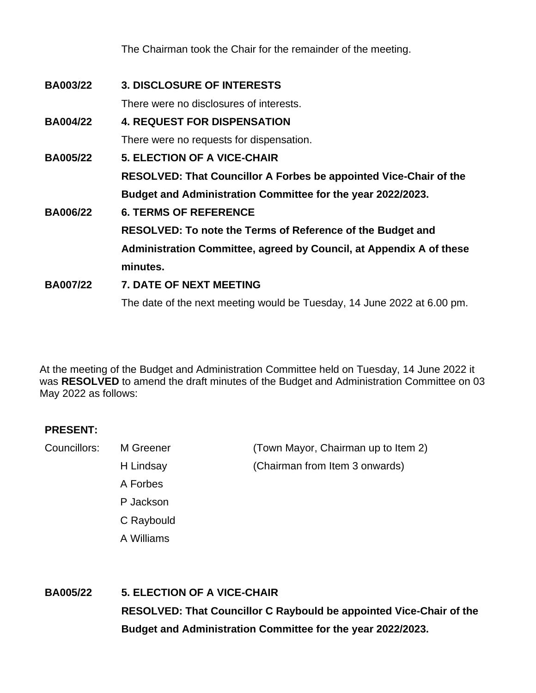The Chairman took the Chair for the remainder of the meeting.

| <b>BA003/22</b> | <b>3. DISCLOSURE OF INTERESTS</b>                                       |  |  |
|-----------------|-------------------------------------------------------------------------|--|--|
|                 | There were no disclosures of interests.                                 |  |  |
| <b>BA004/22</b> | <b>4. REQUEST FOR DISPENSATION</b>                                      |  |  |
|                 | There were no requests for dispensation.                                |  |  |
| <b>BA005/22</b> | <b>5. ELECTION OF A VICE-CHAIR</b>                                      |  |  |
|                 | RESOLVED: That Councillor A Forbes be appointed Vice-Chair of the       |  |  |
|                 | Budget and Administration Committee for the year 2022/2023.             |  |  |
| <b>BA006/22</b> | <b>6. TERMS OF REFERENCE</b>                                            |  |  |
|                 | RESOLVED: To note the Terms of Reference of the Budget and              |  |  |
|                 | Administration Committee, agreed by Council, at Appendix A of these     |  |  |
|                 | minutes.                                                                |  |  |
| <b>BA007/22</b> | 7. DATE OF NEXT MEETING                                                 |  |  |
|                 | The date of the next meeting would be Tuesday, 14 June 2022 at 6.00 pm. |  |  |

At the meeting of the Budget and Administration Committee held on Tuesday, 14 June 2022 it was **RESOLVED** to amend the draft minutes of the Budget and Administration Committee on 03 May 2022 as follows:

## **PRESENT:**

A Forbes P Jackson C Raybould A Williams

Councillors: M Greener (Town Mayor, Chairman up to Item 2) H Lindsay (Chairman from Item 3 onwards)

**BA005/22 5. ELECTION OF A VICE-CHAIR RESOLVED: That Councillor C Raybould be appointed Vice-Chair of the Budget and Administration Committee for the year 2022/2023.**